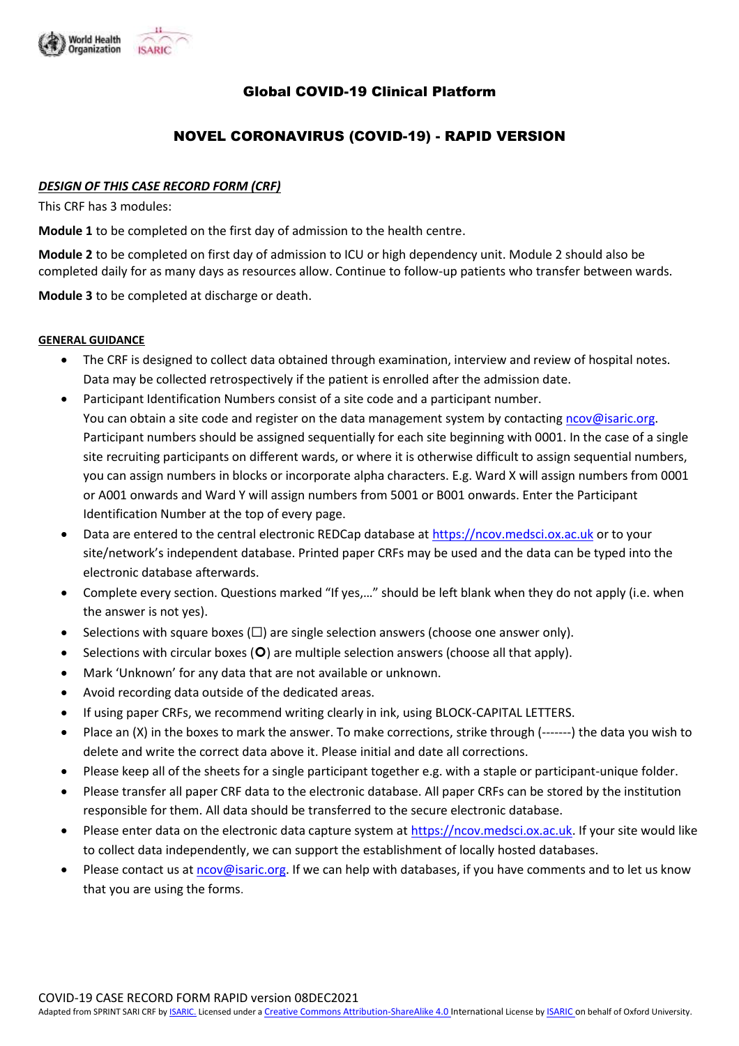

# Global COVID-19 Clinical Platform

# NOVEL CORONAVIRUS (COVID-19) - RAPID VERSION

#### *DESIGN OF THIS CASE RECORD FORM (CRF)*

This CRF has 3 modules:

**Module 1** to be completed on the first day of admission to the health centre.

**Module 2** to be completed on first day of admission to ICU or high dependency unit. Module 2 should also be completed daily for as many days as resources allow. Continue to follow-up patients who transfer between wards.

**Module 3** to be completed at discharge or death.

#### **GENERAL GUIDANCE**

- The CRF is designed to collect data obtained through examination, interview and review of hospital notes. Data may be collected retrospectively if the patient is enrolled after the admission date.
- Participant Identification Numbers consist of a site code and a participant number. You can obtain a site code and register on the data management system by contacting [ncov@isaric.org.](mailto:ncov@isaric.org) Participant numbers should be assigned sequentially for each site beginning with 0001. In the case of a single site recruiting participants on different wards, or where it is otherwise difficult to assign sequential numbers, you can assign numbers in blocks or incorporate alpha characters. E.g. Ward X will assign numbers from 0001 or A001 onwards and Ward Y will assign numbers from 5001 or B001 onwards. Enter the Participant Identification Number at the top of every page.
- Data are entered to the central electronic REDCap database a[t https://ncov.medsci.ox.ac.uk](https://ncov.medsci.ox.ac.uk/) or to your site/network's independent database. Printed paper CRFs may be used and the data can be typed into the electronic database afterwards.
- Complete every section. Questions marked "If yes,…" should be left blank when they do not apply (i.e. when the answer is not yes).
- Selections with square boxes ( $\square$ ) are single selection answers (choose one answer only).
- Selections with circular boxes  $(O)$  are multiple selection answers (choose all that apply).
- Mark 'Unknown' for any data that are not available or unknown.
- Avoid recording data outside of the dedicated areas.
- If using paper CRFs, we recommend writing clearly in ink, using BLOCK-CAPITAL LETTERS.
- Place an (X) in the boxes to mark the answer. To make corrections, strike through (-------) the data you wish to delete and write the correct data above it. Please initial and date all corrections.
- Please keep all of the sheets for a single participant together e.g. with a staple or participant-unique folder.
- Please transfer all paper CRF data to the electronic database. All paper CRFs can be stored by the institution responsible for them. All data should be transferred to the secure electronic database.
- Please enter data on the electronic data capture system a[t https://ncov.medsci.ox.ac.uk.](https://ncov.medsci.ox.ac.uk/) If your site would like to collect data independently, we can support the establishment of locally hosted databases.
- Please contact us at [ncov@isaric.org.](mailto:ncov@isaric.org) If we can help with databases, if you have comments and to let us know that you are using the forms.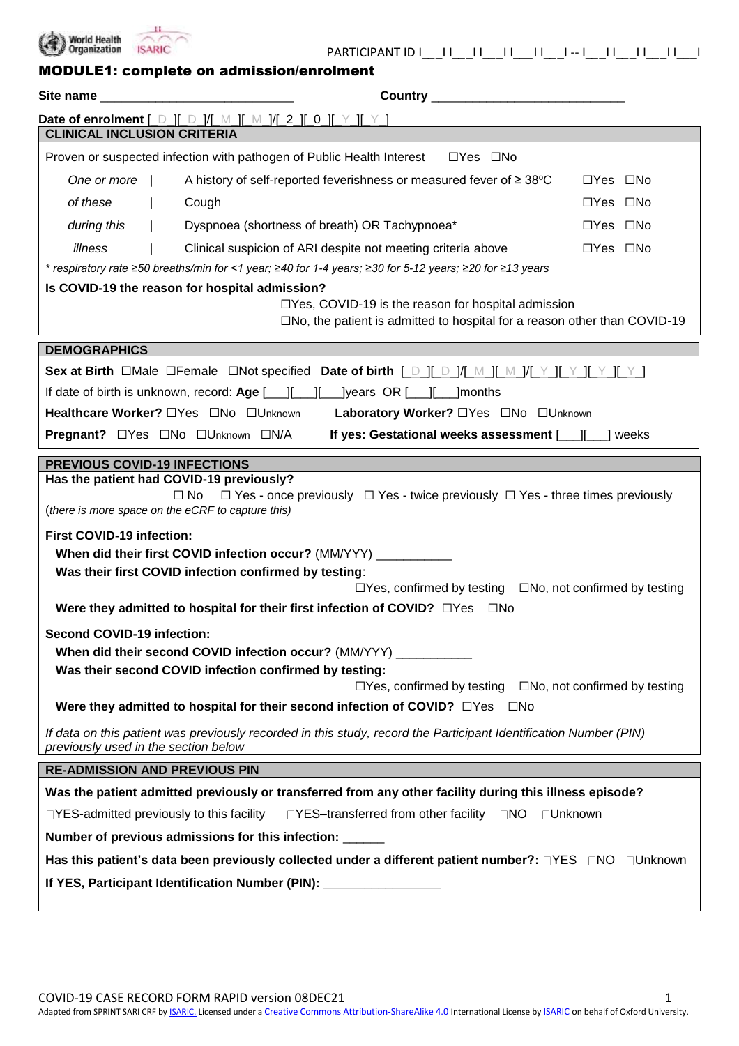

PARTICIPANT ID I\_*\_*\_I I\_*\_*\_I I\_*\_*\_I I\_*\_\_*I I\_*\_*\_I -- I\_*\_*\_I I\_*\_*\_I I\_*\_*\_I I\_*\_*\_I

|  |  | <b>MODULE1: complete on admission/enrolment</b> |  |
|--|--|-------------------------------------------------|--|
|--|--|-------------------------------------------------|--|

| Site name                                               |  |                                                                                                                                                                                                                                                                           |                      |  |
|---------------------------------------------------------|--|---------------------------------------------------------------------------------------------------------------------------------------------------------------------------------------------------------------------------------------------------------------------------|----------------------|--|
|                                                         |  | Date of enrolment $[\_$ \_] $[\_$ $\_$ $]/[\_$ $[\_$ $\_$ $]/[\_$ $[$ $\_$ $]$ $[\_$ $\_$ $]$ $[\_$ $\_$ $]$                                                                                                                                                              |                      |  |
| <b>CLINICAL INCLUSION CRITERIA</b>                      |  |                                                                                                                                                                                                                                                                           |                      |  |
|                                                         |  | Proven or suspected infection with pathogen of Public Health Interest □ Yes □ No                                                                                                                                                                                          |                      |  |
| One or more                                             |  | A history of self-reported feverishness or measured fever of $\geq 38^{\circ}$ C                                                                                                                                                                                          | $\Box$ Yes $\Box$ No |  |
| of these                                                |  | Cough                                                                                                                                                                                                                                                                     | $\Box$ Yes $\Box$ No |  |
| during this                                             |  | Dyspnoea (shortness of breath) OR Tachypnoea*                                                                                                                                                                                                                             | □Yes □No             |  |
| illness                                                 |  | Clinical suspicion of ARI despite not meeting criteria above                                                                                                                                                                                                              | $\Box$ Yes $\Box$ No |  |
|                                                         |  | * respiratory rate ≥50 breaths/min for <1 year; ≥40 for 1-4 years; ≥30 for 5-12 years; ≥20 for ≥13 years                                                                                                                                                                  |                      |  |
|                                                         |  | Is COVID-19 the reason for hospital admission?                                                                                                                                                                                                                            |                      |  |
|                                                         |  | $\Box$ Yes, COVID-19 is the reason for hospital admission<br>$\square$ No, the patient is admitted to hospital for a reason other than COVID-19                                                                                                                           |                      |  |
| <b>DEMOGRAPHICS</b>                                     |  |                                                                                                                                                                                                                                                                           |                      |  |
|                                                         |  |                                                                                                                                                                                                                                                                           |                      |  |
|                                                         |  | If date of birth is unknown, record: Age [integral controlling lyears OR [integral contribution                                                                                                                                                                           |                      |  |
|                                                         |  | Healthcare Worker? <a> <a> <a> <a> <a> <a> Laboratory Worker? <a> CYes CNo CUnknown <a> Laboratory Worker? CYes CNo CUnknown <a> Laboratory Worker? CYes CNo CUnknown <a> Laboratory Worker? CYes CNo LUnknown <a> Laboratory</a></a></a></a></a></a></a></a></a></a></a> |                      |  |
|                                                         |  | If yes: Gestational weeks assessment [ <i>___</i> ][ <i>___</i> ] weeks<br>Pregnant? □Yes □No □Unknown □N/A                                                                                                                                                               |                      |  |
| <b>PREVIOUS COVID-19 INFECTIONS</b>                     |  |                                                                                                                                                                                                                                                                           |                      |  |
|                                                         |  | Has the patient had COVID-19 previously?                                                                                                                                                                                                                                  |                      |  |
|                                                         |  | $\Box$ Yes - once previously $\Box$ Yes - twice previously $\Box$ Yes - three times previously<br>$\square$ No<br>(there is more space on the eCRF to capture this)                                                                                                       |                      |  |
| <b>First COVID-19 infection:</b>                        |  |                                                                                                                                                                                                                                                                           |                      |  |
|                                                         |  | When did their first COVID infection occur? (MM/YYY) __________                                                                                                                                                                                                           |                      |  |
|                                                         |  | Was their first COVID infection confirmed by testing:<br>$\Box$ Yes, confirmed by testing $\Box$ No, not confirmed by testing                                                                                                                                             |                      |  |
|                                                         |  | Were they admitted to hospital for their first infection of COVID? □ Yes □ No                                                                                                                                                                                             |                      |  |
| <b>Second COVID-19 infection:</b>                       |  |                                                                                                                                                                                                                                                                           |                      |  |
|                                                         |  | When did their second COVID infection occur? (MM/YYY)                                                                                                                                                                                                                     |                      |  |
|                                                         |  | Was their second COVID infection confirmed by testing:                                                                                                                                                                                                                    |                      |  |
|                                                         |  | $\Box$ Yes, confirmed by testing $\Box$ No, not confirmed by testing                                                                                                                                                                                                      |                      |  |
|                                                         |  | Were they admitted to hospital for their second infection of COVID? □Yes □No                                                                                                                                                                                              |                      |  |
| previously used in the section below                    |  | If data on this patient was previously recorded in this study, record the Participant Identification Number (PIN)                                                                                                                                                         |                      |  |
| <b>RE-ADMISSION AND PREVIOUS PIN</b>                    |  |                                                                                                                                                                                                                                                                           |                      |  |
|                                                         |  | Was the patient admitted previously or transferred from any other facility during this illness episode?                                                                                                                                                                   |                      |  |
| $\Box$ YES-admitted previously to this facility         |  | □YES-transferred from other facility □NO □Unknown                                                                                                                                                                                                                         |                      |  |
| Number of previous admissions for this infection: _____ |  |                                                                                                                                                                                                                                                                           |                      |  |
|                                                         |  | Has this patient's data been previously collected under a different patient number?: $\Box$ YES $\Box$ NO $\Box$ Unknown                                                                                                                                                  |                      |  |
|                                                         |  | If YES, Participant Identification Number (PIN): _______________                                                                                                                                                                                                          |                      |  |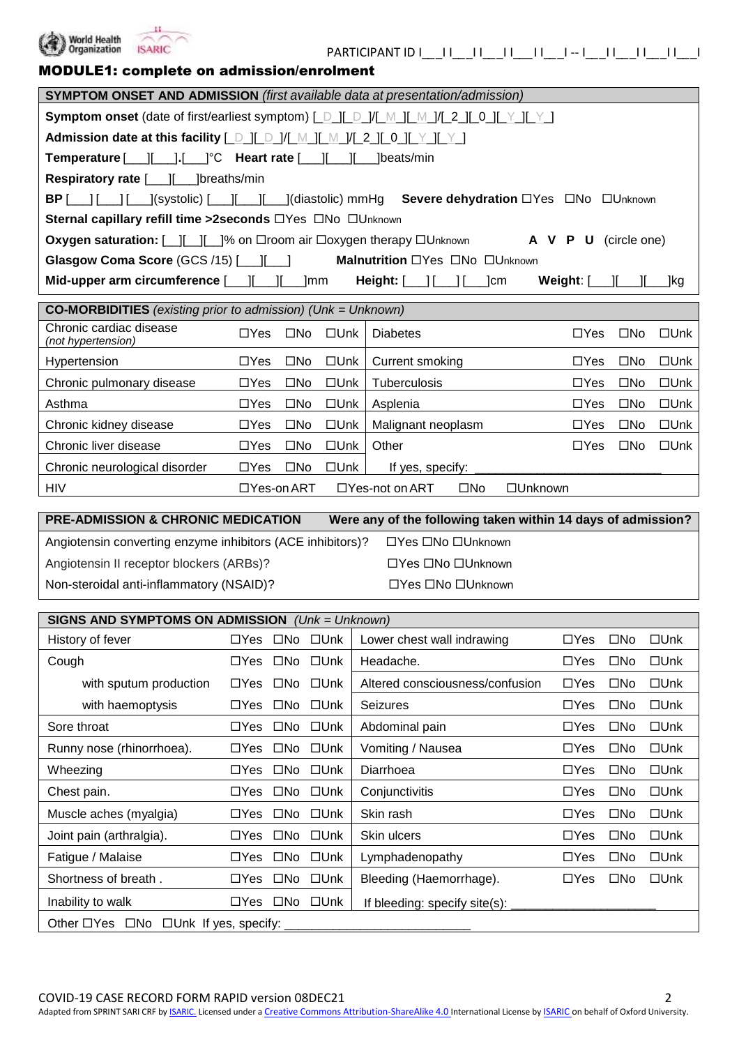

| MODULE1: complete on admission/enrolment |  |
|------------------------------------------|--|
|------------------------------------------|--|

Chronic neurological disorder  $\Box$  Yes  $\Box$  No  $\Box$  Unk | If yes, specify:

Angiotensin converting enzyme inhibitors (ACE inhibitors)? <br>  $\Box$  Yes  $\Box$  No  $\Box$  Unknown Angiotensin II receptor blockers (ARBs)? <br>
TYes ONo OUnknown Non-steroidal anti-inflammatory (NSAID)? □ Ves □No □Unknown

**SIGNS AND SYMPTOMS ON ADMISSION** *(Unk = Unknown)*

Other  $\Box$  Yes  $\Box$  No  $\Box$  Unk If yes, specify:

HIV TYes-on ART UYes-not on ART No Unknown

| <b>SYMPTOM ONSET AND ADMISSION</b> (first available data at presentation/admission)                       |                                                                                                         |              |            |                                                    |                             |              |               |
|-----------------------------------------------------------------------------------------------------------|---------------------------------------------------------------------------------------------------------|--------------|------------|----------------------------------------------------|-----------------------------|--------------|---------------|
| <b>Symptom onset</b> (date of first/earliest symptom) [ D ][ D ]/[ M ][ M ]/[ 2 ][ 0 ][ Y ][ Y ]          |                                                                                                         |              |            |                                                    |                             |              |               |
| Admission date at this facility [ D ][ D ]/[ M ][ M ]/[ 2 ][ 0 ][ Y ][ Y                                  |                                                                                                         |              |            |                                                    |                             |              |               |
|                                                                                                           | <b>Temperature</b> $[\ ][\ ][\ ]$ . $[\ ]$ <sup>°</sup> C <b>Heart rate</b> $[\ ][\ ]$ $[\ ]$ beats/min |              |            |                                                    |                             |              |               |
| <b>Respiratory rate [___][___]breaths/min</b>                                                             |                                                                                                         |              |            |                                                    |                             |              |               |
| <b>BP</b> [__] [___] [___](systolic) [___][___][___](diastolic) mmHg Severe dehydration □Yes □No □Unknown |                                                                                                         |              |            |                                                    |                             |              |               |
| Sternal capillary refill time >2seconds □Yes □No □Unknown                                                 |                                                                                                         |              |            |                                                    |                             |              |               |
| Oxygen saturation: [__][__][__]% on □room air □oxygen therapy □Unknown                                    |                                                                                                         |              |            |                                                    | A V P U (circle one)        |              |               |
| <b>Malnutrition</b> □Yes □No □Unknown<br>Glasgow Coma Score (GCS /15) [11 16                              |                                                                                                         |              |            |                                                    |                             |              |               |
|                                                                                                           |                                                                                                         |              |            |                                                    |                             |              |               |
| Mid-upper arm circumference [ <i>___</i> ][___][___]mm                                                    |                                                                                                         |              |            | <b>Height:</b> $[\ ]$ $[\ ]$ $[\ ]$ $[\ ]$ $\]$ cm | Weight: $[\_\_][\_\_][\_\_$ |              | _]kg          |
| <b>CO-MORBIDITIES</b> (existing prior to admission) (Unk = Unknown)                                       |                                                                                                         |              |            |                                                    |                             |              |               |
| Chronic cardiac disease<br>(not hypertension)                                                             | $\Box$ Yes                                                                                              | $\square$ No | $\Box$ Unk | <b>Diabetes</b>                                    | $\Box$ Yes                  | $\square$ No | $\square$ Unk |
| Hypertension                                                                                              | $\Box$ Yes                                                                                              | $\square$ No | □Unk       | Current smoking                                    | $\Box$ Yes                  | $\square$ No | □Unk          |
| Chronic pulmonary disease                                                                                 | $\Box Y$ es                                                                                             | $\square$ No | $\Box$ Unk | Tuberculosis                                       | $\Box$ Yes                  | $\square$ No | $\square$ Unk |
| Asthma                                                                                                    | $\Box Y$ es                                                                                             | $\square$ No | $\Box$ Unk | Asplenia                                           | $\Box$ Yes                  | $\square$ No | $\square$ Unk |
| Chronic kidney disease                                                                                    | $\Box Y$ es                                                                                             | $\square$ No | $\Box$ Unk | Malignant neoplasm                                 | $\Box$ Yes                  | $\square$ No | $\square$ Unk |

Inability to walk  $\Box$  Yes  $\Box$  No  $\Box$  Unk | If bleeding: specify site(s):

History of fever **The State Of the State Of State III** Lower chest wall indrawing The State Of The No Dunk Cough Yes No Unk Headache. Yes No Unk

**PRE-ADMISSION & CHRONIC MEDICATION Were any of the following taken within 14 days of admission?**

Sore throat TYes ONo OUnk Abdominal pain DYes ONo OUnk Runny nose (rhinorrhoea).  $\square$  Yes  $\square$  No  $\square$  Unk | Vomiting / Nausea  $\square$  Yes  $\square$  No  $\square$  Unk Wheezing **The Unit Clube Of State Of State Of State Of State Of Alle Constructs** Of the Unit Of Alle Constructs O Chest pain. Yes No Unk Conjunctivitis Yes No Unk Muscle aches (myalgia) Yes No Unk Skin rash Yes No Unk Joint pain (arthralgia). Yes No Unk Skin ulcers Yes No Unk Fatigue / Malaise **The State Internative COVE** COVER The DVES COVER The DVES ON Unk Shortness of breath . TYes ONo OUnk Bleeding (Haemorrhage). The Same Constants ONO Dunk

with sputum production  $\Box$  Yes  $\Box$  No  $\Box$  Unk | Altered consciousness/confusion  $\Box$  Yes  $\Box$  No  $\Box$  Unk with haemoptysis The Seizures The Long Hotel Constants The Device of No Unk versions of the Unit Seizures The No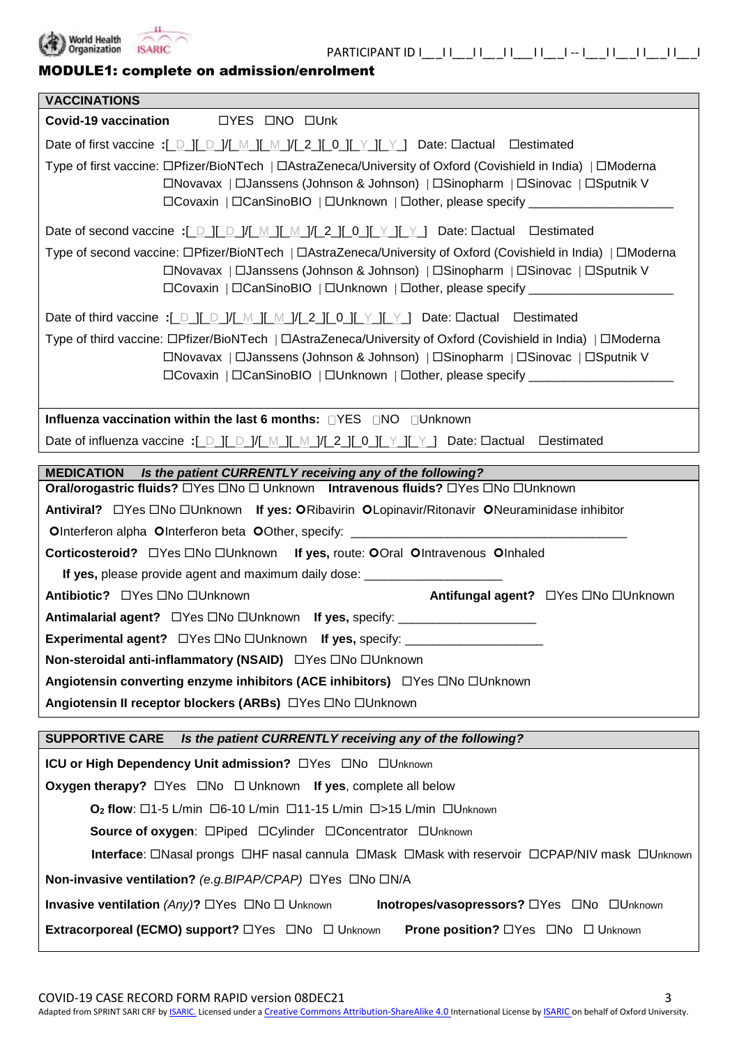

## MODULE1: complete on admission/enrolment

| <b>VACCINATIONS</b>                                                                                                                                                                                                                                                                |  |  |  |  |
|------------------------------------------------------------------------------------------------------------------------------------------------------------------------------------------------------------------------------------------------------------------------------------|--|--|--|--|
| <b>OYES ONO OUnk</b><br>Covid-19 vaccination                                                                                                                                                                                                                                       |  |  |  |  |
| Date of first vaccine :[_D_][_D_]/[_M_][_M_]/[_2_][_0_][_Y_][_Y_] Date: Oactual Oestimated                                                                                                                                                                                         |  |  |  |  |
| Type of first vaccine: □Pfizer/BioNTech   □AstraZeneca/University of Oxford (Covishield in India)   □Moderna<br>□Novavax   □Janssens (Johnson & Johnson)   □Sinopharm   □Sinovac   □Sputnik V<br>□Covaxin   □CanSinoBIO   □Unknown   □other, please specify _____________________  |  |  |  |  |
| Date of second vaccine :[_D_][_D_]/[_M_][_M_]/[_2_][_0_][_Y_][_Y_] Date: Dactual Destimated                                                                                                                                                                                        |  |  |  |  |
| Type of second vaccine: □Pfizer/BioNTech   □AstraZeneca/University of Oxford (Covishield in India)   □Moderna<br>□Novavax   □Janssens (Johnson & Johnson)   □Sinopharm   □Sinovac   □Sputnik V<br>□Covaxin   □CanSinoBIO   □Unknown   □other, please specify _____________________ |  |  |  |  |
| Date of third vaccine :[ D ][ D ]/[ M ][ M ]/[ 2 ][ 0 ][ Y ][ Y ] Date: Dactual Destimated                                                                                                                                                                                         |  |  |  |  |
| Type of third vaccine: □Pfizer/BioNTech   □AstraZeneca/University of Oxford (Covishield in India)   □Moderna<br>□Novavax   □Janssens (Johnson & Johnson)   □Sinopharm   □Sinovac   □Sputnik V<br>□Covaxin   □CanSinoBIO   □Unknown   □other, please specify _____________________  |  |  |  |  |
| Influenza vaccination within the last 6 months: □YES □NO □Unknown                                                                                                                                                                                                                  |  |  |  |  |
| Date of influenza vaccine :[_D_][_D_]/[_M_][_M_]/[_2_][_0_][_Y_][_Y_] Date: Oactual Oestimated                                                                                                                                                                                     |  |  |  |  |
| <b>MEDICATION</b><br>Is the patient CURRENTLY receiving any of the following?                                                                                                                                                                                                      |  |  |  |  |
| Oral/orogastric fluids? □Yes □No □ Unknown Intravenous fluids? □Yes □No □Unknown                                                                                                                                                                                                   |  |  |  |  |
| Antiviral? □ Yes □ No □ Unknown If yes: O Ribavirin O Lopinavir/Ritonavir O Neuraminidase inhibitor                                                                                                                                                                                |  |  |  |  |
| OInterferon alpha OInterferon beta OOther, specify: _____________________________                                                                                                                                                                                                  |  |  |  |  |
| Corticosteroid? □ Yes □ No □ Unknown If yes, route: OOral Olntravenous Olnhaled                                                                                                                                                                                                    |  |  |  |  |
| If yes, please provide agent and maximum daily dose: ___________________________                                                                                                                                                                                                   |  |  |  |  |
| Antifungal agent? □ Yes □ No □ Unknown<br>Antibiotic? □ Yes □ No □ Unknown                                                                                                                                                                                                         |  |  |  |  |
|                                                                                                                                                                                                                                                                                    |  |  |  |  |
|                                                                                                                                                                                                                                                                                    |  |  |  |  |
| Non-steroidal anti-inflammatory (NSAID) □ Yes □ No □ Unknown                                                                                                                                                                                                                       |  |  |  |  |
| Angiotensin converting enzyme inhibitors (ACE inhibitors) □ Yes □ No □ Unknown                                                                                                                                                                                                     |  |  |  |  |
| Angiotensin II receptor blockers (ARBs) □ Yes □ No □ Unknown                                                                                                                                                                                                                       |  |  |  |  |
| <b>SUPPORTIVE CARE</b><br>Is the patient CURRENTLY receiving any of the following?                                                                                                                                                                                                 |  |  |  |  |
| ICU or High Dependency Unit admission? OYes ONo OUnknown                                                                                                                                                                                                                           |  |  |  |  |
| <b>Oxygen therapy?</b> $\Box$ Yes $\Box$ No $\Box$ Unknown If yes, complete all below                                                                                                                                                                                              |  |  |  |  |
| $O2$ flow: $\Box$ 1-5 L/min $\Box$ 6-10 L/min $\Box$ 11-15 L/min $\Box$ >15 L/min $\Box$ Unknown                                                                                                                                                                                   |  |  |  |  |
| Source of oxygen: □Piped □Cylinder □Concentrator □Unknown                                                                                                                                                                                                                          |  |  |  |  |
| <b>Interface:</b> □Nasal prongs □HF nasal cannula □Mask □Mask with reservoir □CPAP/NIV mask □Unknown                                                                                                                                                                               |  |  |  |  |
| Non-invasive ventilation? (e.g. BIPAP/CPAP) □Yes □No □N/A                                                                                                                                                                                                                          |  |  |  |  |
| <b>Invasive ventilation</b> (Any)? $\Box$ Yes $\Box$ No $\Box$ Unknown<br>Inotropes/vasopressors? OYes ONo OUnknown                                                                                                                                                                |  |  |  |  |
| <b>Prone position? </b> □Yes □No □ Unknown                                                                                                                                                                                                                                         |  |  |  |  |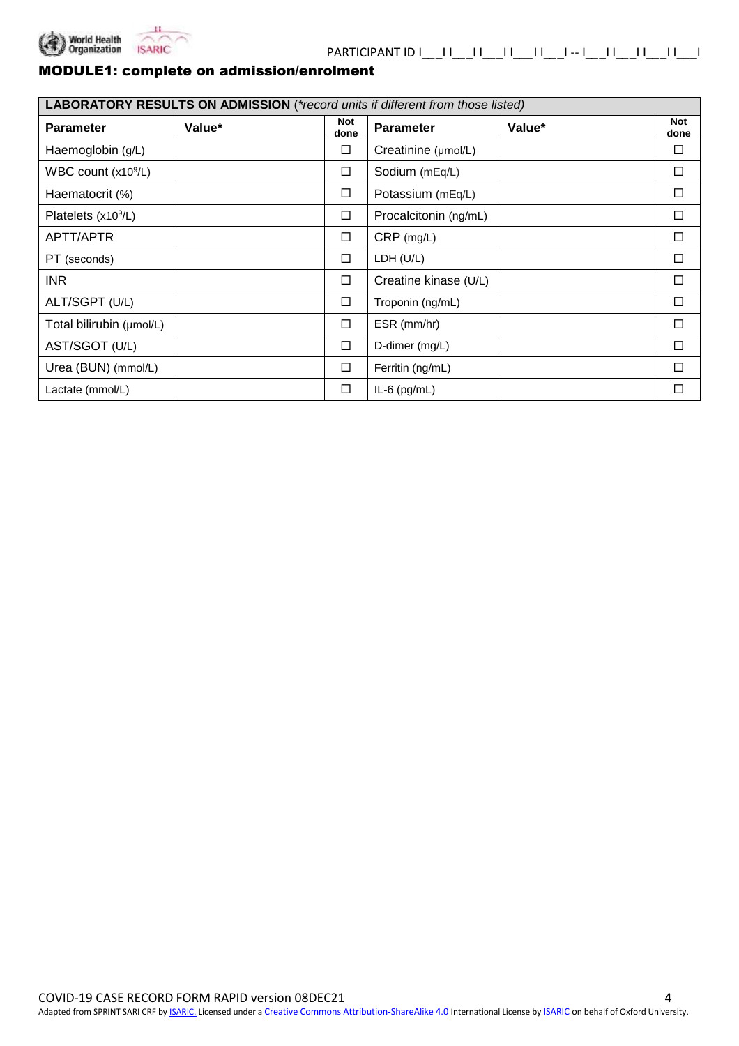

### MODULE1: complete on admission/enrolment

| LABORATORY RESULTS ON ADMISSION (*record units if different from those listed) |        |                    |                       |        |                    |  |
|--------------------------------------------------------------------------------|--------|--------------------|-----------------------|--------|--------------------|--|
| <b>Parameter</b>                                                               | Value* | <b>Not</b><br>done | <b>Parameter</b>      | Value* | <b>Not</b><br>done |  |
| Haemoglobin (g/L)                                                              |        | □                  | Creatinine (µmol/L)   |        |                    |  |
| WBC count $(x109/L)$                                                           |        | $\Box$             | Sodium (mEq/L)        |        | □                  |  |
| Haematocrit (%)                                                                |        | $\Box$             | Potassium (mEq/L)     |        | □                  |  |
| Platelets (x10 <sup>9</sup> /L)                                                |        | $\Box$             | Procalcitonin (ng/mL) |        | □                  |  |
| APTT/APTR                                                                      |        | $\Box$             | CRP (mg/L)            |        | □                  |  |
| PT (seconds)                                                                   |        | $\Box$             | LDH (U/L)             |        | □                  |  |
| <b>INR</b>                                                                     |        | $\Box$             | Creatine kinase (U/L) |        | □                  |  |
| ALT/SGPT (U/L)                                                                 |        | □                  | Troponin (ng/mL)      |        | П                  |  |
| Total bilirubin (µmol/L)                                                       |        | $\Box$             | ESR (mm/hr)           |        | □                  |  |
| AST/SGOT (U/L)                                                                 |        | $\Box$             | D-dimer (mg/L)        |        | □                  |  |
| Urea (BUN) (mmol/L)                                                            |        | $\Box$             | Ferritin (ng/mL)      |        | П                  |  |
| Lactate (mmol/L)                                                               |        | $\Box$             | $IL-6$ (pg/mL)        |        | □                  |  |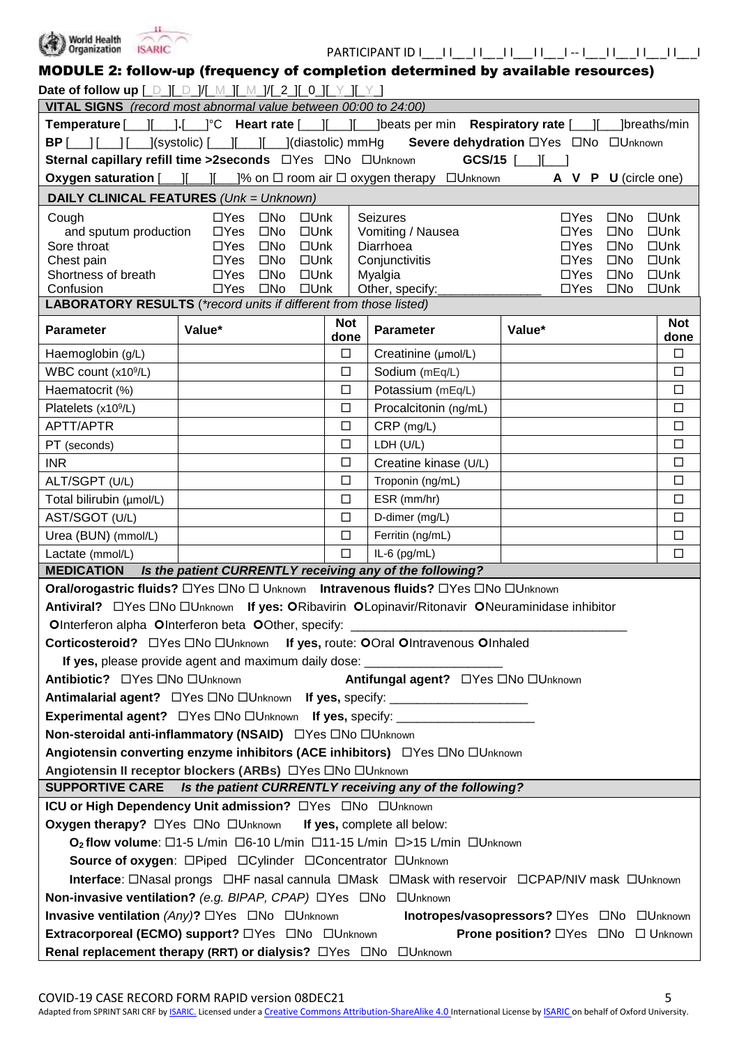

| MODULE 2: follow-up (frequency of completion determined by available resources)                                                   |                                                                                                 |            |                                        |                                                                                                                   |                                |
|-----------------------------------------------------------------------------------------------------------------------------------|-------------------------------------------------------------------------------------------------|------------|----------------------------------------|-------------------------------------------------------------------------------------------------------------------|--------------------------------|
| Date of follow up [ D ][ D ]/[ M ][ M ]/[ 2 ][ 0 ][ Y ][ Y ]                                                                      |                                                                                                 |            |                                        |                                                                                                                   |                                |
| VITAL SIGNS (record most abnormal value between 00:00 to 24:00)                                                                   |                                                                                                 |            |                                        |                                                                                                                   |                                |
| Temperature [___][___].[___] <sup>o</sup> C Heart rate [___][___][____]beats per min Respiratory rate [___][____]breaths/min      |                                                                                                 |            |                                        |                                                                                                                   |                                |
|                                                                                                                                   |                                                                                                 |            |                                        | <b>BP</b> [ <i>___</i> ] [___] [____](systolic) [____][____](diastolic) mmHg Severe dehydration □Yes □No □Unknown |                                |
|                                                                                                                                   |                                                                                                 |            |                                        |                                                                                                                   |                                |
|                                                                                                                                   | Oxygen saturation $[\ ][\ ][\ ][\ ]$  % on $\Box$ room air $\Box$ oxygen therapy $\Box$ Unknown |            |                                        | A V P U (circle one)                                                                                              |                                |
|                                                                                                                                   | <b>DAILY CLINICAL FEATURES (Unk = Unknown)</b>                                                  |            |                                        |                                                                                                                   |                                |
| Cough                                                                                                                             | $\Box$ Yes $\Box$ No<br>$\square$ Unk                                                           |            | <b>Seizures</b>                        | $\Box$ Yes<br>$\square$ No                                                                                        | $\square$ Unk                  |
| and sputum production                                                                                                             | $\Box$ Yes<br>$\square$ Unk<br>$\square$ No                                                     |            | Vomiting / Nausea                      | $\Box$ Yes<br>$\square$ No                                                                                        | $\square$ Unk                  |
| Sore throat                                                                                                                       | $\Box$ Yes<br>$\square$ No<br>$\square$ Unk                                                     |            | Diarrhoea                              | $\square$ No<br>$\Box Y$ es                                                                                       | $\square$ Unk                  |
| Chest pain                                                                                                                        | $\square$ Unk<br>$\Box$ Yes<br>$\square$ No                                                     |            | Conjunctivitis                         | $\Box Y$ es<br>$\square$ No                                                                                       | $\square$ Unk                  |
| Shortness of breath<br>Confusion                                                                                                  | $\Box$ Yes<br>$\square$ No<br>$\square$ Unk<br>$\square$ No<br>$\Box$ Unk<br>$\Box$ Yes         |            | Myalgia<br>Other, specify:             | $\Box Y$ es<br>$\square$ No<br>$\Box$ Yes<br>$\square$ No                                                         | $\square$ Unk<br>$\square$ Unk |
|                                                                                                                                   | <b>LABORATORY RESULTS</b> (*record units if different from those listed)                        |            |                                        |                                                                                                                   |                                |
|                                                                                                                                   |                                                                                                 | <b>Not</b> |                                        |                                                                                                                   | <b>Not</b>                     |
| <b>Parameter</b>                                                                                                                  | Value*                                                                                          | done       | <b>Parameter</b>                       | Value*                                                                                                            | done                           |
| Haemoglobin (g/L)                                                                                                                 |                                                                                                 | $\Box$     | Creatinine (µmol/L)                    |                                                                                                                   | $\Box$                         |
| WBC count (x10 <sup>9</sup> /L)                                                                                                   |                                                                                                 | $\Box$     | Sodium (mEq/L)                         |                                                                                                                   | $\Box$                         |
| Haematocrit (%)                                                                                                                   |                                                                                                 | $\Box$     | Potassium (mEq/L)                      |                                                                                                                   | $\Box$                         |
| Platelets (x10 <sup>9</sup> /L)                                                                                                   |                                                                                                 | $\Box$     | Procalcitonin (ng/mL)                  |                                                                                                                   | $\Box$                         |
| APTT/APTR                                                                                                                         |                                                                                                 | $\Box$     | $CRP$ (mg/L)                           |                                                                                                                   | $\Box$                         |
| PT (seconds)                                                                                                                      |                                                                                                 | $\Box$     | LDH (U/L)                              |                                                                                                                   | $\Box$                         |
| <b>INR</b>                                                                                                                        |                                                                                                 | $\Box$     | Creatine kinase (U/L)                  |                                                                                                                   | $\Box$                         |
| ALT/SGPT (U/L)                                                                                                                    |                                                                                                 | $\Box$     | Troponin (ng/mL)                       |                                                                                                                   | $\Box$                         |
| Total bilirubin (µmol/L)                                                                                                          |                                                                                                 | $\Box$     | ESR (mm/hr)                            |                                                                                                                   | $\Box$                         |
| AST/SGOT (U/L)                                                                                                                    |                                                                                                 | $\Box$     | D-dimer (mg/L)                         |                                                                                                                   | $\Box$                         |
| Urea (BUN) (mmol/L)                                                                                                               |                                                                                                 | $\Box$     | Ferritin (ng/mL)                       |                                                                                                                   | $\Box$                         |
| Lactate (mmol/L)                                                                                                                  |                                                                                                 | $\Box$     | $IL-6$ (pg/mL)                         |                                                                                                                   | $\Box$                         |
|                                                                                                                                   | MEDICATION Is the patient CURRENTLY receiving any of the following?                             |            |                                        |                                                                                                                   |                                |
|                                                                                                                                   | Oral/orogastric fluids? □Yes □No □ Unknown Intravenous fluids? □Yes □No □Unknown                |            |                                        |                                                                                                                   |                                |
|                                                                                                                                   |                                                                                                 |            |                                        |                                                                                                                   |                                |
|                                                                                                                                   | OInterferon alpha OInterferon beta OOther, specify: _____________________________               |            |                                        |                                                                                                                   |                                |
|                                                                                                                                   | Corticosteroid? □ Yes □ No □ Unknown If yes, route: OOral OIntravenous OInhaled                 |            |                                        |                                                                                                                   |                                |
|                                                                                                                                   | If yes, please provide agent and maximum daily dose: ___________________________                |            |                                        |                                                                                                                   |                                |
| Antibiotic? □ Yes □ No □ Unknown                                                                                                  |                                                                                                 |            | Antifungal agent? □ Yes □ No □ Unknown |                                                                                                                   |                                |
|                                                                                                                                   | Antimalarial agent? □ Yes □ No □ Unknown If yes, specify: ______________________                |            |                                        |                                                                                                                   |                                |
|                                                                                                                                   | Experimental agent? □ Yes □ No □ Unknown If yes, specify: _____________________                 |            |                                        |                                                                                                                   |                                |
|                                                                                                                                   | Non-steroidal anti-inflammatory (NSAID) □ Yes □ No □ Unknown                                    |            |                                        |                                                                                                                   |                                |
| Angiotensin converting enzyme inhibitors (ACE inhibitors) □ Yes □ No □ Unknown                                                    |                                                                                                 |            |                                        |                                                                                                                   |                                |
| Angiotensin II receptor blockers (ARBs) □ Yes □ No □ Unknown                                                                      |                                                                                                 |            |                                        |                                                                                                                   |                                |
| SUPPORTIVE CARE Is the patient CURRENTLY receiving any of the following?                                                          |                                                                                                 |            |                                        |                                                                                                                   |                                |
| ICU or High Dependency Unit admission? OYes ONo OUnknown                                                                          |                                                                                                 |            |                                        |                                                                                                                   |                                |
| Oxygen therapy? □ Yes □ No □ Unknown If yes, complete all below:                                                                  |                                                                                                 |            |                                        |                                                                                                                   |                                |
| O <sub>2</sub> flow volume: $\Box$ 1-5 L/min $\Box$ 6-10 L/min $\Box$ 11-15 L/min $\Box$ >15 L/min $\Box$ Unknown                 |                                                                                                 |            |                                        |                                                                                                                   |                                |
| Source of oxygen: □Piped □Cylinder □Concentrator □Unknown                                                                         |                                                                                                 |            |                                        |                                                                                                                   |                                |
| Interface: $\Box$ Nasal prongs $\Box$ HF nasal cannula $\Box$ Mask $\Box$ Mask with reservoir $\Box$ CPAP/NIV mask $\Box$ Unknown |                                                                                                 |            |                                        |                                                                                                                   |                                |
| Non-invasive ventilation? (e.g. BIPAP, CPAP) □Yes □No □Unknown                                                                    |                                                                                                 |            |                                        |                                                                                                                   |                                |
| Invasive ventilation (Any)? □ Yes □ No □ Unknown<br>Inotropes/vasopressors? □Yes □No □Unknown                                     |                                                                                                 |            |                                        |                                                                                                                   |                                |
| Extracorporeal (ECMO) support? OYes ONo OUnknown<br><b>Prone position?</b> □ Yes □ No □ Unknown                                   |                                                                                                 |            |                                        |                                                                                                                   |                                |
| Renal replacement therapy (RRT) or dialysis? OYes ONo OUnknown                                                                    |                                                                                                 |            |                                        |                                                                                                                   |                                |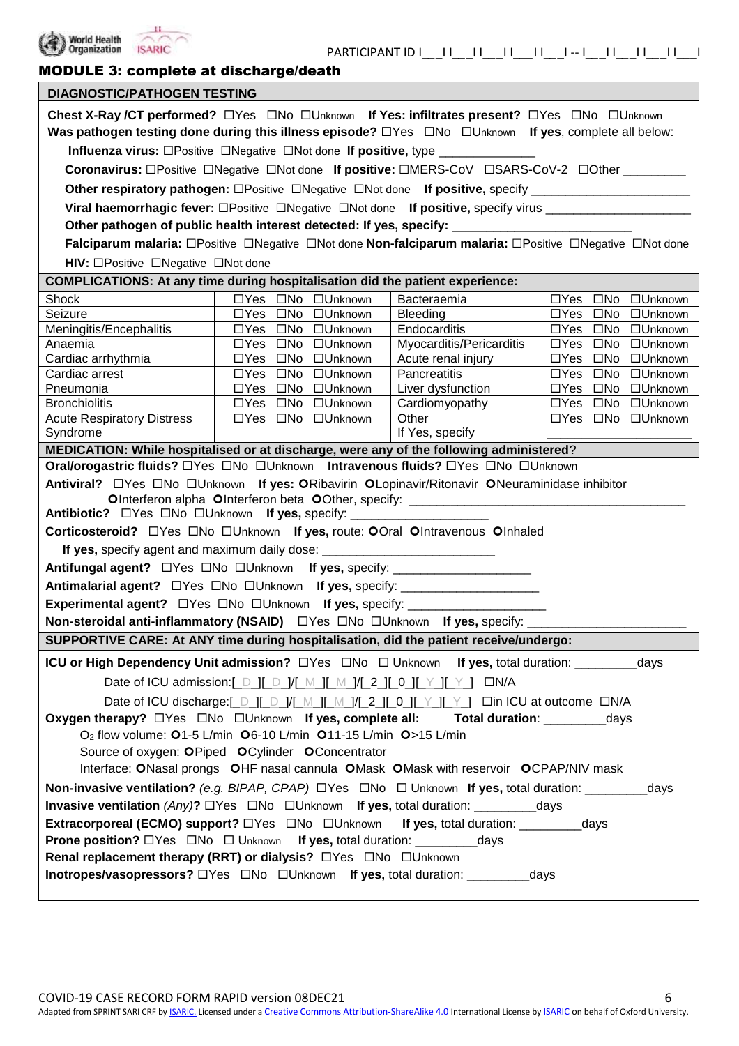

# MODULE 3: complete at discharge/death

| <b>DIAGNOSTIC/PATHOGEN TESTING</b>                                                                                                                                                                                    |                                                                                                         |                          |                                  |  |
|-----------------------------------------------------------------------------------------------------------------------------------------------------------------------------------------------------------------------|---------------------------------------------------------------------------------------------------------|--------------------------|----------------------------------|--|
| Chest X-Ray /CT performed? □Yes □No □Unknown If Yes: infiltrates present? □Yes □No □Unknown<br>Was pathogen testing done during this illness episode? $\Box$ Yes $\Box$ No $\Box$ Unknown If yes, complete all below: |                                                                                                         |                          |                                  |  |
|                                                                                                                                                                                                                       | <b>Influenza virus:</b> □Positive □Negative □Not done If positive, type ______________                  |                          |                                  |  |
|                                                                                                                                                                                                                       | Coronavirus: □Positive □Negative □Not done If positive: □MERS-CoV □SARS-CoV-2 □Other ________           |                          |                                  |  |
|                                                                                                                                                                                                                       | Other respiratory pathogen: □Positive □Negative □Not done If positive, specify ____________________     |                          |                                  |  |
|                                                                                                                                                                                                                       | Viral haemorrhagic fever: OPositive ONegative ONot done If positive, specify virus _________________    |                          |                                  |  |
|                                                                                                                                                                                                                       | Other pathogen of public health interest detected: If yes, specify: _______________________________     |                          |                                  |  |
|                                                                                                                                                                                                                       | Falciparum malaria: OPositive ONegative ONot done Non-falciparum malaria: OPositive ONegative ONot done |                          |                                  |  |
| HIV: □Positive □Negative □Not done                                                                                                                                                                                    |                                                                                                         |                          |                                  |  |
|                                                                                                                                                                                                                       | <b>COMPLICATIONS: At any time during hospitalisation did the patient experience:</b>                    |                          |                                  |  |
| Shock                                                                                                                                                                                                                 | □Yes □No □Unknown                                                                                       | Bacteraemia              | □Yes □No □Unknown                |  |
| Seizure                                                                                                                                                                                                               | □Yes □No □Unknown                                                                                       | Bleeding                 | □Yes □No □Unknown                |  |
| Meningitis/Encephalitis                                                                                                                                                                                               | □Yes □No □Unknown                                                                                       | Endocarditis             | □Yes □No □Unknown                |  |
| Anaemia                                                                                                                                                                                                               | □Yes □No □Unknown                                                                                       | Myocarditis/Pericarditis | □Yes □No □Unknown                |  |
| Cardiac arrhythmia                                                                                                                                                                                                    | □Yes □No □Unknown                                                                                       | Acute renal injury       | $\Box$ Yes $\Box$ No<br>□Unknown |  |
| Cardiac arrest                                                                                                                                                                                                        | □Yes □No □Unknown                                                                                       | Pancreatitis             | $\Box$ Yes $\Box$ No<br>□Unknown |  |
| Pneumonia                                                                                                                                                                                                             | □Yes □No □Unknown                                                                                       | Liver dysfunction        | $\Box$ Yes $\Box$ No<br>□Unknown |  |
| <b>Bronchiolitis</b>                                                                                                                                                                                                  | □Yes □No □Unknown                                                                                       | Cardiomyopathy           | □Yes □No □Unknown                |  |
| <b>Acute Respiratory Distress</b>                                                                                                                                                                                     | □Yes □No □Unknown                                                                                       | Other                    | □Yes □No □Unknown                |  |
| Syndrome                                                                                                                                                                                                              |                                                                                                         | If Yes, specify          |                                  |  |
|                                                                                                                                                                                                                       | MEDICATION: While hospitalised or at discharge, were any of the following administered?                 |                          |                                  |  |
|                                                                                                                                                                                                                       | Oral/orogastric fluids? □Yes □No □Unknown Intravenous fluids? □Yes □No □Unknown                         |                          |                                  |  |
|                                                                                                                                                                                                                       | Antiviral? □ Yes □ No □ Unknown If yes: ORibavirin OLopinavir/Ritonavir ONeuraminidase inhibitor        |                          |                                  |  |
|                                                                                                                                                                                                                       | OInterferon alpha OInterferon beta OOther, specify: ____________________________                        |                          |                                  |  |
|                                                                                                                                                                                                                       | Antibiotic? □ Yes □ No □ Unknown If yes, specify: ______________________________                        |                          |                                  |  |
|                                                                                                                                                                                                                       | Corticosteroid? □ Yes □ No □ Unknown If yes, route: OOral OIntravenous OInhaled                         |                          |                                  |  |
|                                                                                                                                                                                                                       | If yes, specify agent and maximum daily dose: __________________________________                        |                          |                                  |  |
|                                                                                                                                                                                                                       | Antifungal agent? □ Yes □ No □ Unknown If yes, specify: _______________________                         |                          |                                  |  |
|                                                                                                                                                                                                                       | Antimalarial agent? □ Yes □ No □ Unknown If yes, specify: ______________________                        |                          |                                  |  |
|                                                                                                                                                                                                                       |                                                                                                         |                          |                                  |  |
|                                                                                                                                                                                                                       | Non-steroidal anti-inflammatory (NSAID) □ Yes □ No □ Unknown If yes, specify:                           |                          |                                  |  |
|                                                                                                                                                                                                                       | SUPPORTIVE CARE: At ANY time during hospitalisation, did the patient receive/undergo:                   |                          |                                  |  |
|                                                                                                                                                                                                                       |                                                                                                         |                          |                                  |  |
|                                                                                                                                                                                                                       |                                                                                                         |                          |                                  |  |
| Date of ICU admission:[ D ][ D ]/[ M ][ M ]/[ 2 ][ 0 ][ Y ][ Y ] DN/A                                                                                                                                                 |                                                                                                         |                          |                                  |  |
| Date of ICU discharge:[_D_][_D_]/[_M_][_M_]/[_2_][_0_][_Y_][_Y_] □in ICU at outcome □N/A                                                                                                                              |                                                                                                         |                          |                                  |  |
| Oxygen therapy? □Yes □No □Unknown If yes, complete all:<br>Total duration: _________________days                                                                                                                      |                                                                                                         |                          |                                  |  |
| O <sub>2</sub> flow volume: 01-5 L/min 06-10 L/min 011-15 L/min 0>15 L/min                                                                                                                                            |                                                                                                         |                          |                                  |  |
| Source of oxygen: OPiped OCylinder OConcentrator                                                                                                                                                                      |                                                                                                         |                          |                                  |  |
| Interface: ONasal prongs OHF nasal cannula OMask OMask with reservoir OCPAP/NIV mask                                                                                                                                  |                                                                                                         |                          |                                  |  |
| <b>Non-invasive ventilation?</b> (e.g. BIPAP, CPAP) $\Box$ Yes $\Box$ No $\Box$ Unknown If yes, total duration: ___________days                                                                                       |                                                                                                         |                          |                                  |  |
| <b>Invasive ventilation</b> (Any)? $\Box$ Yes $\Box$ No $\Box$ Unknown If yes, total duration: ____________days                                                                                                       |                                                                                                         |                          |                                  |  |
| Extracorporeal (ECMO) support? OYes ONo OUnknown If yes, total duration: __________days                                                                                                                               |                                                                                                         |                          |                                  |  |
|                                                                                                                                                                                                                       |                                                                                                         |                          |                                  |  |
| <b>Prone position?</b> □Yes □No □ Unknown <b>If yes,</b> total duration: ____________days                                                                                                                             |                                                                                                         |                          |                                  |  |
| Renal replacement therapy (RRT) or dialysis? □Yes □No □Unknown                                                                                                                                                        |                                                                                                         |                          |                                  |  |
| Inotropes/vasopressors? OYes ONo OUnknown If yes, total duration: ___________days                                                                                                                                     |                                                                                                         |                          |                                  |  |